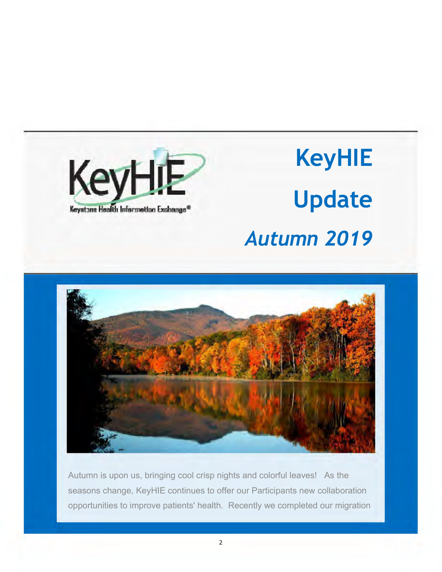

# **KeyHIE Update**  *Autumn 2019*



Autumn is upon us, bringing cool crisp nights and colorful leaves! As the seasons change, KeyHIE continues to offer our Participants new collaboration opportunities to improve patients' health. Recently we completed our migration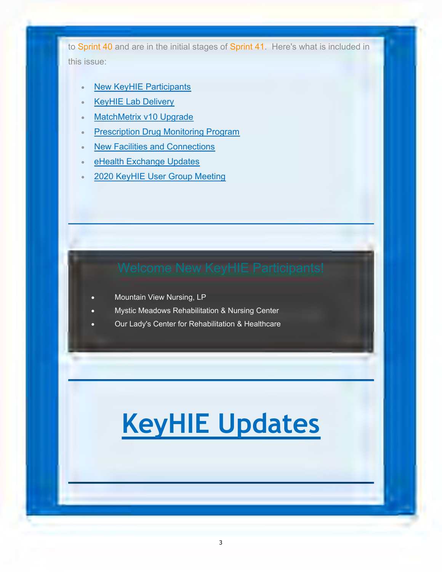to Sprint 40 and are in the initial stages of Sprint 41. Here's what is included in this issue:

- New KeyHIE Participants
- KeyHIE Lab Delivery
- **MatchMetrix v10 Upgrade**
- Prescription Drug Monitoring Program
- New Facilities and Connections
- eHealth Exchange Updates
- 2020 KeyHIE User Group Meeting

- Mountain View Nursing, LP
- Mystic Meadows Rehabilitation & Nursing Center
- Our Lady's Center for Rehabilitation & Healthcare

## **KeyHIE Updates**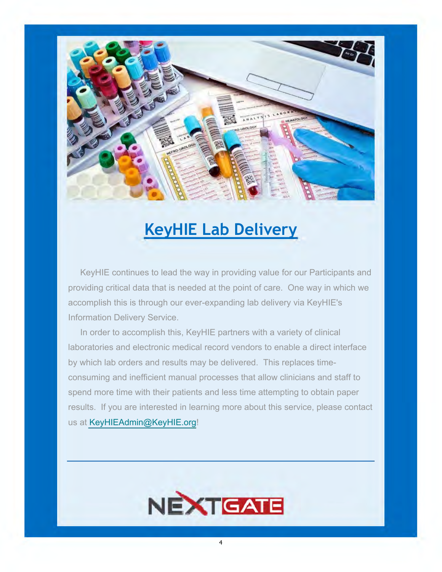

### **KeyHIE Lab Delivery**

 KeyHIE continues to lead the way in providing value for our Participants and providing critical data that is needed at the point of care. One way in which we accomplish this is through our ever-expanding lab delivery via KeyHIE's Information Delivery Service.

 In order to accomplish this, KeyHIE partners with a variety of clinical laboratories and electronic medical record vendors to enable a direct interface by which lab orders and results may be delivered. This replaces timeconsuming and inefficient manual processes that allow clinicians and staff to spend more time with their patients and less time attempting to obtain paper results. If you are interested in learning more about this service, please contact us at [KeyHIEAdmin@KeyHIE.org](mailto:KeyHIEAdmin@KeyHIE.org)!

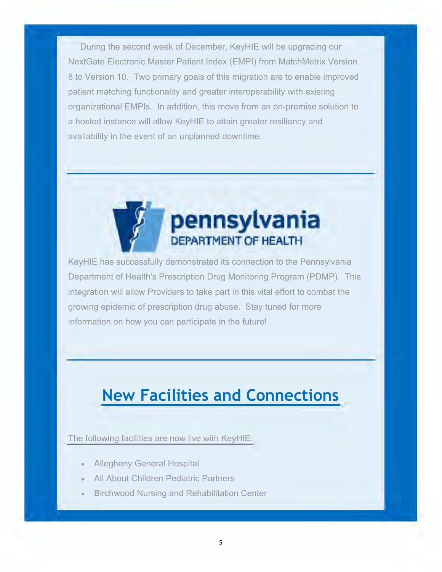During the second week of December, KeyHIE will be upgrading our NextGate Electronic Master Patient Index (EMPI) from MatchMetrix Version 8 to Version 10. Two primary goals of this migration are to enable improved patient matching functionality and greater interoperability with existing organizational EMPIs. In addition, this move from an on-premise solution to a hosted instance will allow KeyHIE to attain greater resiliancy and availability in the event of an unplanned downtime.



KeyHIE has successfully demonstrated its connection to the Pennsylvania Department of Health's Prescription Drug Monitoring Program (PDMP). This integration will allow Providers to take part in this vital effort to combat the growing epidemic of prescription drug abuse. Stay tuned for more information on how you can participate in the future!

### **New Facilities and Connections**

The following facilities are now live with KeyHIE:

- Allegheny General Hospital
- All About Children Pediatric Partners
- Birchwood Nursing and Rehabilitation Center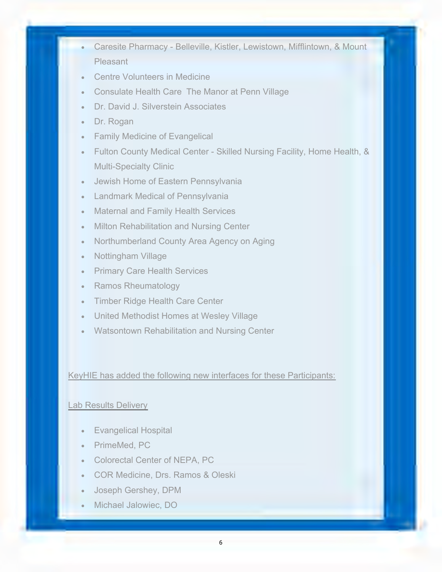- Caresite Pharmacy Belleville, Kistler, Lewistown, Mifflintown, & Mount Pleasant
- Centre Volunteers in Medicine
- Consulate Health Care The Manor at Penn Village
- Dr. David J. Silverstein Associates
- Dr. Rogan
- Family Medicine of Evangelical
- Fulton County Medical Center Skilled Nursing Facility, Home Health, & Multi-Specialty Clinic
- Jewish Home of Eastern Pennsylvania
- Landmark Medical of Pennsylvania
- Maternal and Family Health Services
- Milton Rehabilitation and Nursing Center
- Northumberland County Area Agency on Aging
- Nottingham Village
- Primary Care Health Services
- Ramos Rheumatology
- Timber Ridge Health Care Center
- United Methodist Homes at Wesley Village
- Watsontown Rehabilitation and Nursing Center

#### KeyHIE has added the following new interfaces for these Participants:

#### Lab Results Delivery

- Evangelical Hospital
- PrimeMed, PC
- Colorectal Center of NEPA, PC
- COR Medicine, Drs. Ramos & Oleski
- Joseph Gershey, DPM
- Michael Jalowiec, DO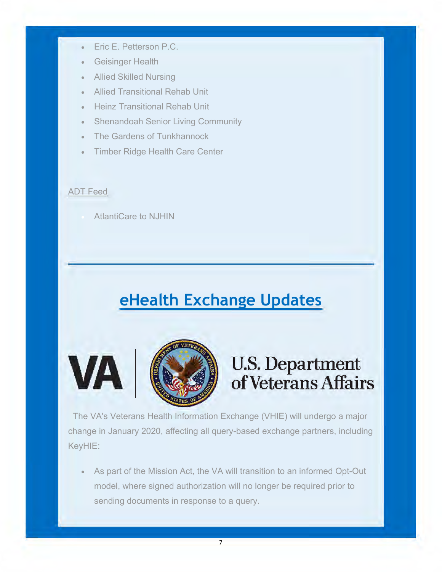- Eric E. Petterson P.C.
- Geisinger Health
- Allied Skilled Nursing
- Allied Transitional Rehab Unit
- Heinz Transitional Rehab Unit
- Shenandoah Senior Living Community
- The Gardens of Tunkhannock
- Timber Ridge Health Care Center

### ADT Feed

**VA** 

AtlantiCare to NJHIN

### **eHealth Exchange Updates**



### U.S. Department of Veterans Affairs

 The VA's Veterans Health Information Exchange (VHIE) will undergo a major change in January 2020, affecting all query-based exchange partners, including KeyHIE:

 As part of the Mission Act, the VA will transition to an informed Opt-Out model, where signed authorization will no longer be required prior to sending documents in response to a query.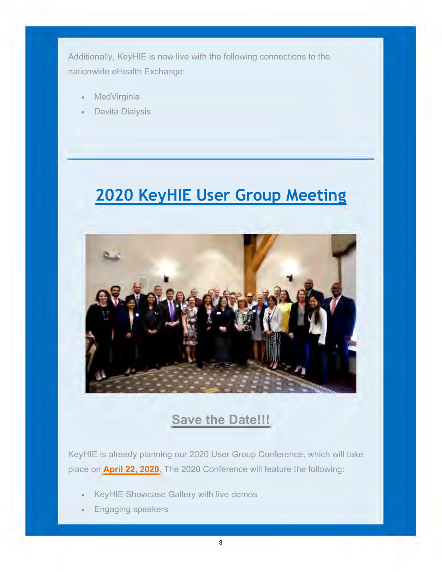Additionally, KeyHIE is now live with the following connections to the nationwide eHealth Exchange:

- **MedVirginia**
- Davita Dialysis

## **2020 KeyHIE User Group Meeting**



### **Save the Date!!!**

KeyHIE is already planning our 2020 User Group Conference, which will take place on **April 22, 2020**. The 2020 Conference will feature the following:

- KeyHIE Showcase Gallery with live demos
- Engaging speakers